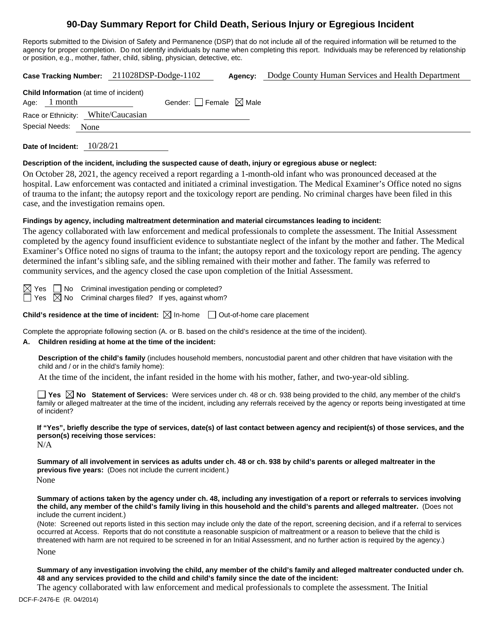# **90-Day Summary Report for Child Death, Serious Injury or Egregious Incident**

Reports submitted to the Division of Safety and Permanence (DSP) that do not include all of the required information will be returned to the agency for proper completion. Do not identify individuals by name when completing this report. Individuals may be referenced by relationship or position, e.g., mother, father, child, sibling, physician, detective, etc.

|                |         | Case Tracking Number: 211028DSP-Dodge-1102 |                                                | Agency:                                | Dodge County Human Services and Health Department |  |  |
|----------------|---------|--------------------------------------------|------------------------------------------------|----------------------------------------|---------------------------------------------------|--|--|
| Age:           | 1 month |                                            | <b>Child Information</b> (at time of incident) | Gender: $\Box$ Female $\boxtimes$ Male |                                                   |  |  |
|                |         |                                            | Race or Ethnicity: White/Caucasian             |                                        |                                                   |  |  |
| Special Needs: |         | None                                       |                                                |                                        |                                                   |  |  |
|                |         |                                            |                                                |                                        |                                                   |  |  |

**Date of Incident:** 10/28/21

#### **Description of the incident, including the suspected cause of death, injury or egregious abuse or neglect:**

On October 28, 2021, the agency received a report regarding a 1-month-old infant who was pronounced deceased at the hospital. Law enforcement was contacted and initiated a criminal investigation. The Medical Examiner's Office noted no signs of trauma to the infant; the autopsy report and the toxicology report are pending. No criminal charges have been filed in this case, and the investigation remains open.

#### **Findings by agency, including maltreatment determination and material circumstances leading to incident:**

The agency collaborated with law enforcement and medical professionals to complete the assessment. The Initial Assessment completed by the agency found insufficient evidence to substantiate neglect of the infant by the mother and father. The Medical Examiner's Office noted no signs of trauma to the infant; the autopsy report and the toxicology report are pending. The agency determined the infant's sibling safe, and the sibling remained with their mother and father. The family was referred to community services, and the agency closed the case upon completion of the Initial Assessment.

 $\boxtimes$  Yes  $\Box$  No Criminal investigation pending or completed?  $\exists$  Yes  $\boxtimes$  No Criminal charges filed? If yes, against whom?

**Child's residence at the time of incident:**  $\boxtimes$  In-home  $\Box$  Out-of-home care placement

Complete the appropriate following section (A. or B. based on the child's residence at the time of the incident).

#### **A. Children residing at home at the time of the incident:**

**Description of the child's family** (includes household members, noncustodial parent and other children that have visitation with the child and / or in the child's family home):

At the time of the incident, the infant resided in the home with his mother, father, and two-year-old sibling.

**Yes**  $\boxtimes$  **No** Statement of Services: Were services under ch. 48 or ch. 938 being provided to the child, any member of the child's family or alleged maltreater at the time of the incident, including any referrals received by the agency or reports being investigated at time of incident?

**If "Yes", briefly describe the type of services, date(s) of last contact between agency and recipient(s) of those services, and the person(s) receiving those services:**

N/A

**Summary of all involvement in services as adults under ch. 48 or ch. 938 by child's parents or alleged maltreater in the previous five years:** (Does not include the current incident.) None

**Summary of actions taken by the agency under ch. 48, including any investigation of a report or referrals to services involving the child, any member of the child's family living in this household and the child's parents and alleged maltreater.** (Does not include the current incident.)

(Note: Screened out reports listed in this section may include only the date of the report, screening decision, and if a referral to services occurred at Access. Reports that do not constitute a reasonable suspicion of maltreatment or a reason to believe that the child is threatened with harm are not required to be screened in for an Initial Assessment, and no further action is required by the agency.)

None

**Summary of any investigation involving the child, any member of the child's family and alleged maltreater conducted under ch. 48 and any services provided to the child and child's family since the date of the incident:**

The agency collaborated with law enforcement and medical professionals to complete the assessment. The Initial